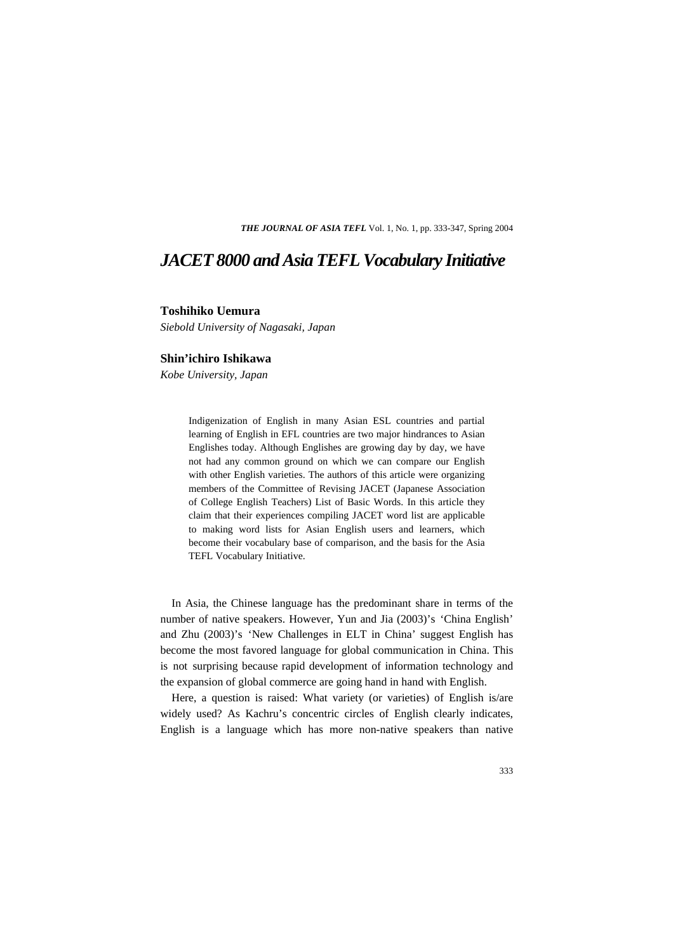*THE JOURNAL OF ASIA TEFL* Vol. 1, No. 1, pp. 333-347, Spring 2004

## *JACET 8000 and Asia TEFL Vocabulary Initiative*

#### **Toshihiko Uemura**

*Siebold University of Nagasaki, Japan* 

### **Shin'ichiro Ishikawa**

*Kobe University, Japan* 

Indigenization of English in many Asian ESL countries and partial learning of English in EFL countries are two major hindrances to Asian Englishes today. Although Englishes are growing day by day, we have not had any common ground on which we can compare our English with other English varieties. The authors of this article were organizing members of the Committee of Revising JACET (Japanese Association of College English Teachers) List of Basic Words. In this article they claim that their experiences compiling JACET word list are applicable to making word lists for Asian English users and learners, which become their vocabulary base of comparison, and the basis for the Asia TEFL Vocabulary Initiative.

In Asia, the Chinese language has the predominant share in terms of the number of native speakers. However, Yun and Jia (2003)'s 'China English' and Zhu (2003)'s 'New Challenges in ELT in China' suggest English has become the most favored language for global communication in China. This is not surprising because rapid development of information technology and the expansion of global commerce are going hand in hand with English.

Here, a question is raised: What variety (or varieties) of English is/are widely used? As Kachru's concentric circles of English clearly indicates, English is a language which has more non-native speakers than native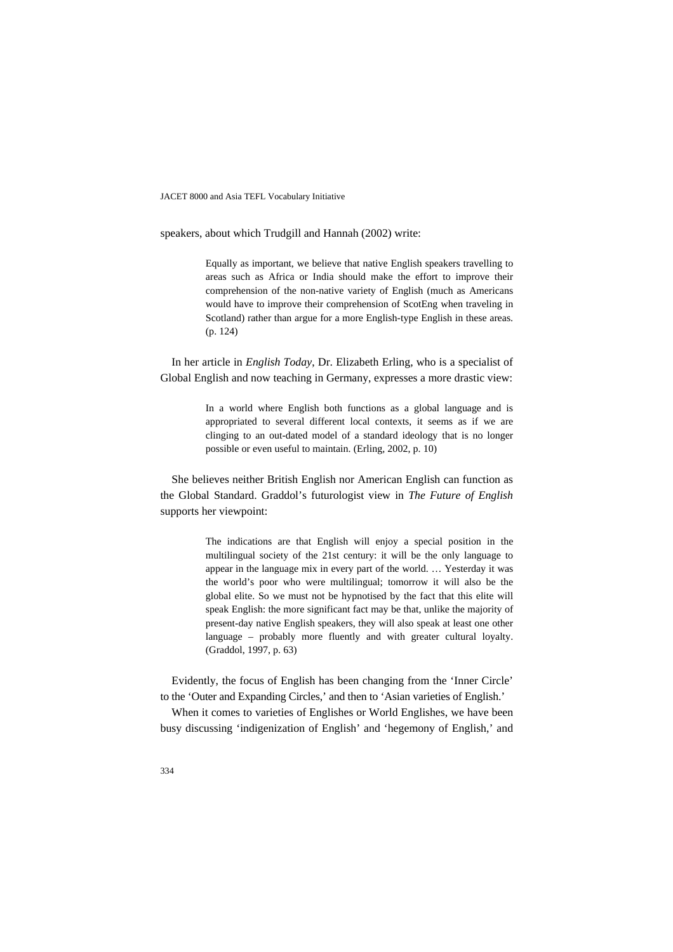speakers, about which Trudgill and Hannah (2002) write:

Equally as important, we believe that native English speakers travelling to areas such as Africa or India should make the effort to improve their comprehension of the non-native variety of English (much as Americans would have to improve their comprehension of ScotEng when traveling in Scotland) rather than argue for a more English-type English in these areas. (p. 124)

In her article in *English Today*, Dr. Elizabeth Erling, who is a specialist of Global English and now teaching in Germany, expresses a more drastic view:

> In a world where English both functions as a global language and is appropriated to several different local contexts, it seems as if we are clinging to an out-dated model of a standard ideology that is no longer possible or even useful to maintain. (Erling, 2002, p. 10)

She believes neither British English nor American English can function as the Global Standard. Graddol's futurologist view in *The Future of English* supports her viewpoint:

> The indications are that English will enjoy a special position in the multilingual society of the 21st century: it will be the only language to appear in the language mix in every part of the world. … Yesterday it was the world's poor who were multilingual; tomorrow it will also be the global elite. So we must not be hypnotised by the fact that this elite will speak English: the more significant fact may be that, unlike the majority of present-day native English speakers, they will also speak at least one other language – probably more fluently and with greater cultural loyalty. (Graddol, 1997, p. 63)

Evidently, the focus of English has been changing from the 'Inner Circle' to the 'Outer and Expanding Circles,' and then to 'Asian varieties of English.'

When it comes to varieties of Englishes or World Englishes, we have been busy discussing 'indigenization of English' and 'hegemony of English,' and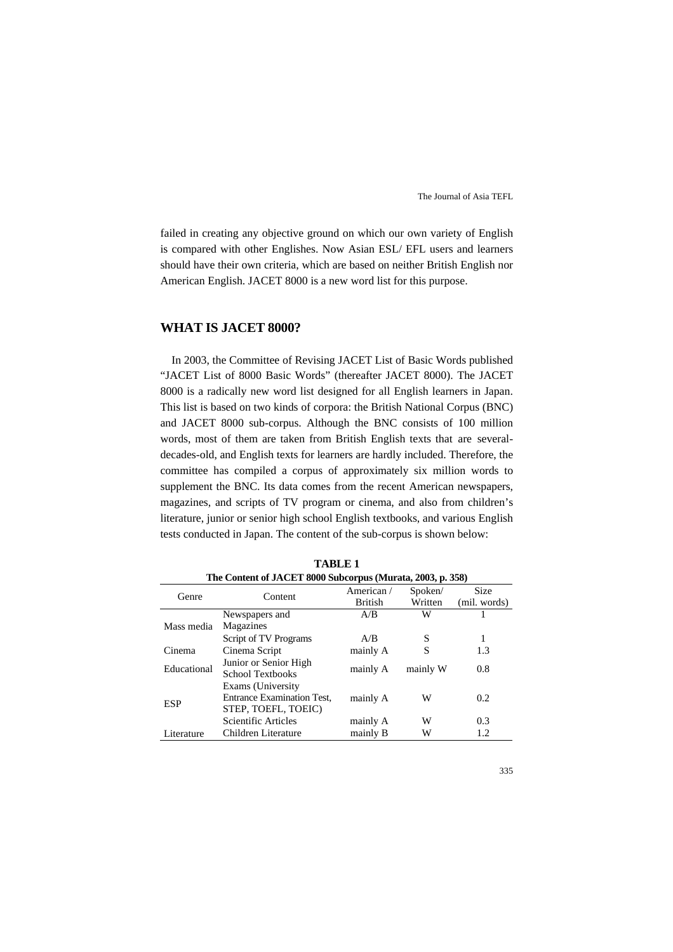failed in creating any objective ground on which our own variety of English is compared with other Englishes. Now Asian ESL/ EFL users and learners should have their own criteria, which are based on neither British English nor American English. JACET 8000 is a new word list for this purpose.

## **WHAT IS JACET 8000?**

In 2003, the Committee of Revising JACET List of Basic Words published "JACET List of 8000 Basic Words" (thereafter JACET 8000). The JACET 8000 is a radically new word list designed for all English learners in Japan. This list is based on two kinds of corpora: the British National Corpus (BNC) and JACET 8000 sub-corpus. Although the BNC consists of 100 million words, most of them are taken from British English texts that are severaldecades-old, and English texts for learners are hardly included. Therefore, the committee has compiled a corpus of approximately six million words to supplement the BNC. Its data comes from the recent American newspapers, magazines, and scripts of TV program or cinema, and also from children's literature, junior or senior high school English textbooks, and various English tests conducted in Japan. The content of the sub-corpus is shown below:

| The Content of JACET 8000 Subcorpus (Murata, 2003, p. 358) |                                                                               |                             |                    |                             |
|------------------------------------------------------------|-------------------------------------------------------------------------------|-----------------------------|--------------------|-----------------------------|
| Genre                                                      | Content                                                                       | American/<br><b>British</b> | Spoken/<br>Written | <b>Size</b><br>(mil. words) |
|                                                            | Newspapers and                                                                | A/B                         | W                  |                             |
| Mass media                                                 | Magazines                                                                     |                             |                    |                             |
|                                                            | Script of TV Programs                                                         | A/B                         | S                  |                             |
| Cinema                                                     | Cinema Script                                                                 | mainly A                    | S                  | 1.3                         |
| Educational                                                | Junior or Senior High<br>School Textbooks                                     | mainly A                    | mainly W           | 0.8                         |
| <b>ESP</b>                                                 | Exams (University<br><b>Entrance Examination Test,</b><br>STEP, TOEFL, TOEIC) | mainly A                    | W                  | 0.2                         |
|                                                            | Scientific Articles                                                           | mainly A                    | W                  | 0.3                         |
| Literature                                                 | Children Literature                                                           | mainly B                    | W                  | 1.2                         |

**TABLE 1**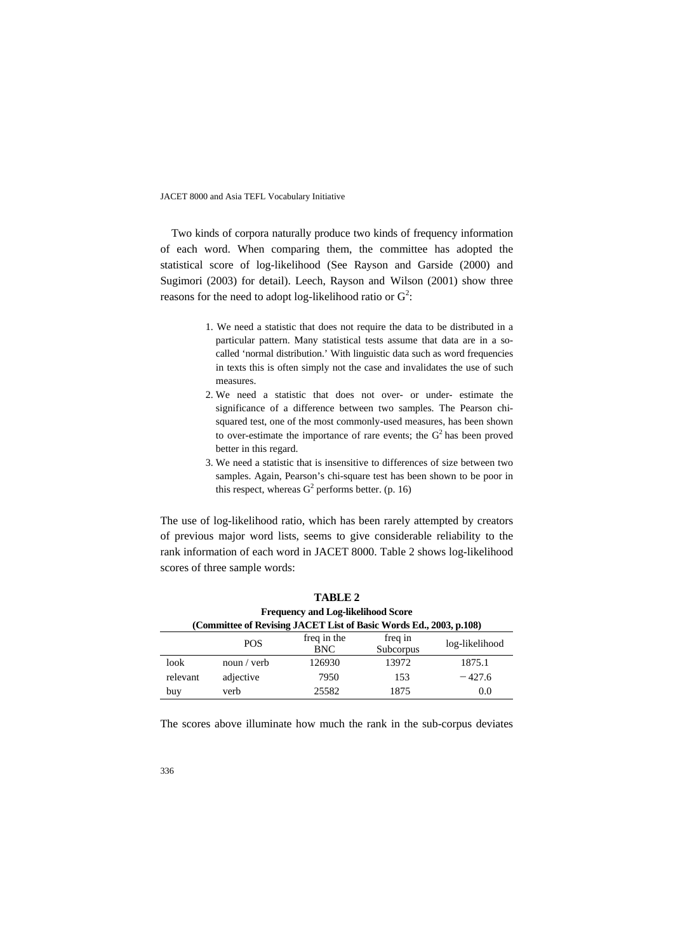Two kinds of corpora naturally produce two kinds of frequency information of each word. When comparing them, the committee has adopted the statistical score of log-likelihood (See Rayson and Garside (2000) and Sugimori (2003) for detail). Leech, Rayson and Wilson (2001) show three reasons for the need to adopt log-likelihood ratio or  $G^2$ :

- 1. We need a statistic that does not require the data to be distributed in a particular pattern. Many statistical tests assume that data are in a socalled 'normal distribution.' With linguistic data such as word frequencies in texts this is often simply not the case and invalidates the use of such measures.
- 2. We need a statistic that does not over- or under- estimate the significance of a difference between two samples. The Pearson chisquared test, one of the most commonly-used measures, has been shown to over-estimate the importance of rare events; the  $G<sup>2</sup>$  has been proved better in this regard.
- 3. We need a statistic that is insensitive to differences of size between two samples. Again, Pearson's chi-square test has been shown to be poor in this respect, whereas  $G^2$  performs better. (p. 16)

The use of log-likelihood ratio, which has been rarely attempted by creators of previous major word lists, seems to give considerable reliability to the rank information of each word in JACET 8000. Table 2 shows log-likelihood scores of three sample words:

|                                                                    |             | <b>TABLE 2</b>                            |                      |                |  |
|--------------------------------------------------------------------|-------------|-------------------------------------------|----------------------|----------------|--|
|                                                                    |             | <b>Frequency and Log-likelihood Score</b> |                      |                |  |
| (Committee of Revising JACET List of Basic Words Ed., 2003, p.108) |             |                                           |                      |                |  |
|                                                                    | <b>POS</b>  | freq in the<br><b>BNC</b>                 | freq in<br>Subcorpus | log-likelihood |  |
| look                                                               | noun / verb | 126930                                    | 13972                | 1875.1         |  |
| relevant                                                           | adjective   | 7950                                      | 153                  | $-427.6$       |  |
| buy                                                                | verb        | 25582                                     | 1875                 | 0.0            |  |

The scores above illuminate how much the rank in the sub-corpus deviates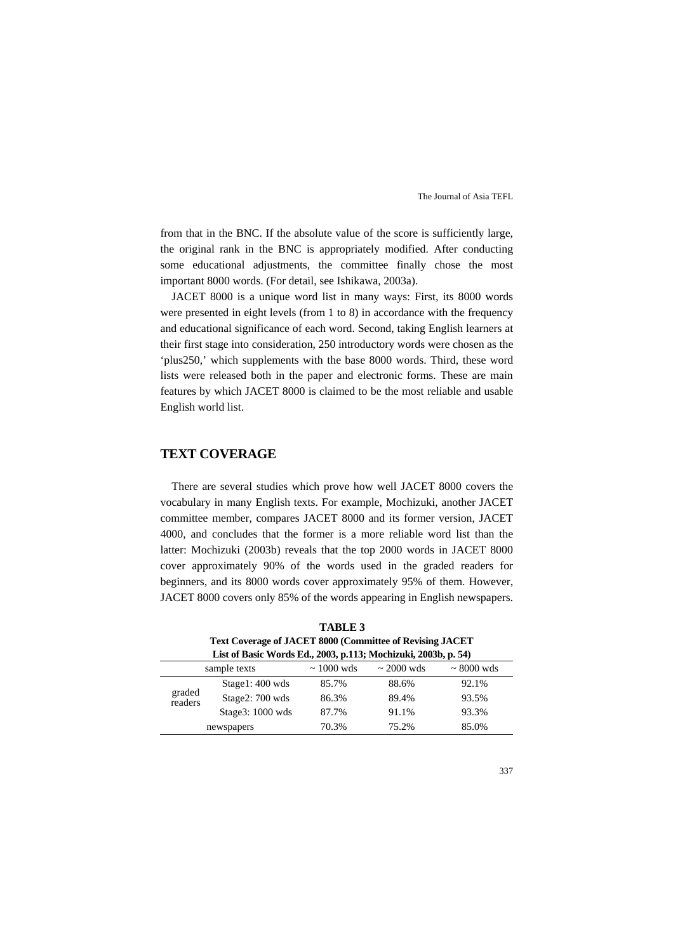from that in the BNC. If the absolute value of the score is sufficiently large, the original rank in the BNC is appropriately modified. After conducting some educational adjustments, the committee finally chose the most important 8000 words. (For detail, see Ishikawa, 2003a).

JACET 8000 is a unique word list in many ways: First, its 8000 words were presented in eight levels (from 1 to 8) in accordance with the frequency and educational significance of each word. Second, taking English learners at their first stage into consideration, 250 introductory words were chosen as the 'plus250,' which supplements with the base 8000 words. Third, these word lists were released both in the paper and electronic forms. These are main features by which JACET 8000 is claimed to be the most reliable and usable English world list.

## **TEXT COVERAGE**

There are several studies which prove how well JACET 8000 covers the vocabulary in many English texts. For example, Mochizuki, another JACET committee member, compares JACET 8000 and its former version, JACET 4000, and concludes that the former is a more reliable word list than the latter: Mochizuki (2003b) reveals that the top 2000 words in JACET 8000 cover approximately 90% of the words used in the graded readers for beginners, and its 8000 words cover approximately 95% of them. However, JACET 8000 covers only 85% of the words appearing in English newspapers.

**TABLE 3 Text Coverage of JACET 8000 (Committee of Revising JACET List of Basic Words Ed., 2003, p.113; Mochizuki, 2003b, p. 54)**

|                   | List of Basic Words Ed., 2003, p.113; Mochizuki, 2005b, p. 54) |                 |                 |                 |
|-------------------|----------------------------------------------------------------|-----------------|-----------------|-----------------|
|                   | sample texts                                                   | $\sim 1000$ wds | $\sim$ 2000 wds | $\sim 8000$ wds |
|                   | $Stage1:400$ wds                                               | 85.7%           | 88.6%           | 92.1%           |
| graded<br>readers | Stage2: 700 wds                                                | 86.3%           | 89.4%           | 93.5%           |
|                   | Stage $3:1000$ wds                                             | 87.7%           | 91.1%           | 93.3%           |
|                   | newspapers                                                     | 70.3%           | 75.2%           | 85.0%           |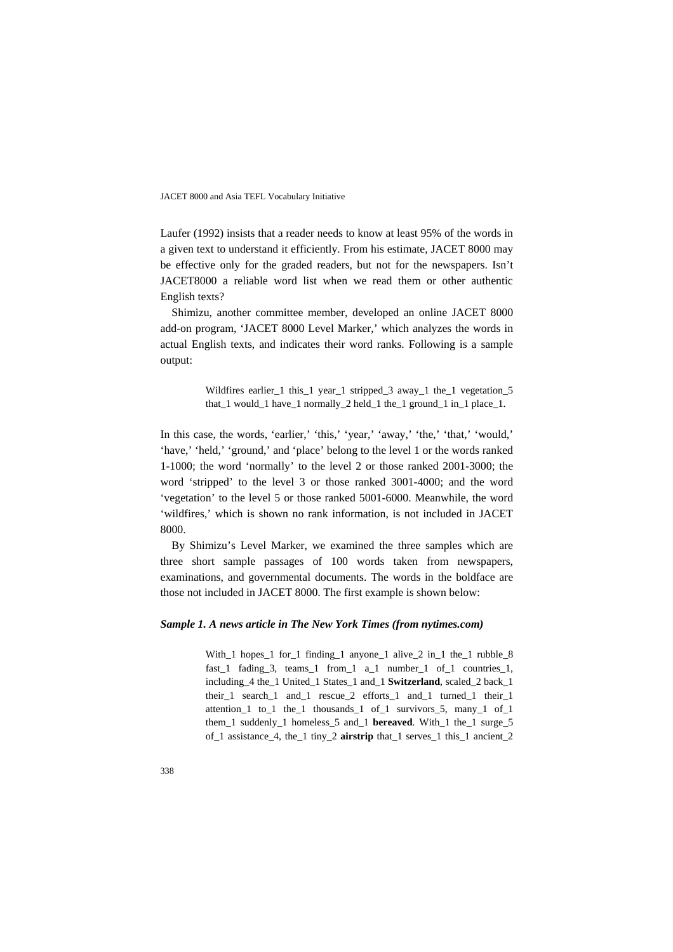Laufer (1992) insists that a reader needs to know at least 95% of the words in a given text to understand it efficiently. From his estimate, JACET 8000 may be effective only for the graded readers, but not for the newspapers. Isn't JACET8000 a reliable word list when we read them or other authentic English texts?

Shimizu, another committee member, developed an online JACET 8000 add-on program, 'JACET 8000 Level Marker,' which analyzes the words in actual English texts, and indicates their word ranks. Following is a sample output:

> Wildfires earlier\_1 this\_1 year\_1 stripped\_3 away\_1 the\_1 vegetation\_5 that\_1 would\_1 have\_1 normally\_2 held\_1 the\_1 ground\_1 in\_1 place\_1.

In this case, the words, 'earlier,' 'this,' 'year,' 'away,' 'the,' 'that,' 'would,' 'have,' 'held,' 'ground,' and 'place' belong to the level 1 or the words ranked 1-1000; the word 'normally' to the level 2 or those ranked 2001-3000; the word 'stripped' to the level 3 or those ranked 3001-4000; and the word 'vegetation' to the level 5 or those ranked 5001-6000. Meanwhile, the word 'wildfires,' which is shown no rank information, is not included in JACET 8000.

By Shimizu's Level Marker, we examined the three samples which are three short sample passages of 100 words taken from newspapers, examinations, and governmental documents. The words in the boldface are those not included in JACET 8000. The first example is shown below:

#### *Sample 1. A news article in The New York Times (from nytimes.com)*

With 1 hopes 1 for 1 finding 1 anyone 1 alive 2 in 1 the 1 rubble  $8$ fast\_1 fading\_3, teams\_1 from\_1 a\_1 number\_1 of\_1 countries\_1, including\_4 the\_1 United\_1 States\_1 and\_1 **Switzerland**, scaled\_2 back\_1 their\_1 search\_1 and\_1 rescue\_2 efforts\_1 and\_1 turned\_1 their\_1 attention\_1 to\_1 the\_1 thousands\_1 of\_1 survivors\_5, many\_1 of\_1 them\_1 suddenly\_1 homeless\_5 and\_1 **bereaved**. With\_1 the\_1 surge\_5 of\_1 assistance\_4, the\_1 tiny\_2 **airstrip** that\_1 serves\_1 this\_1 ancient\_2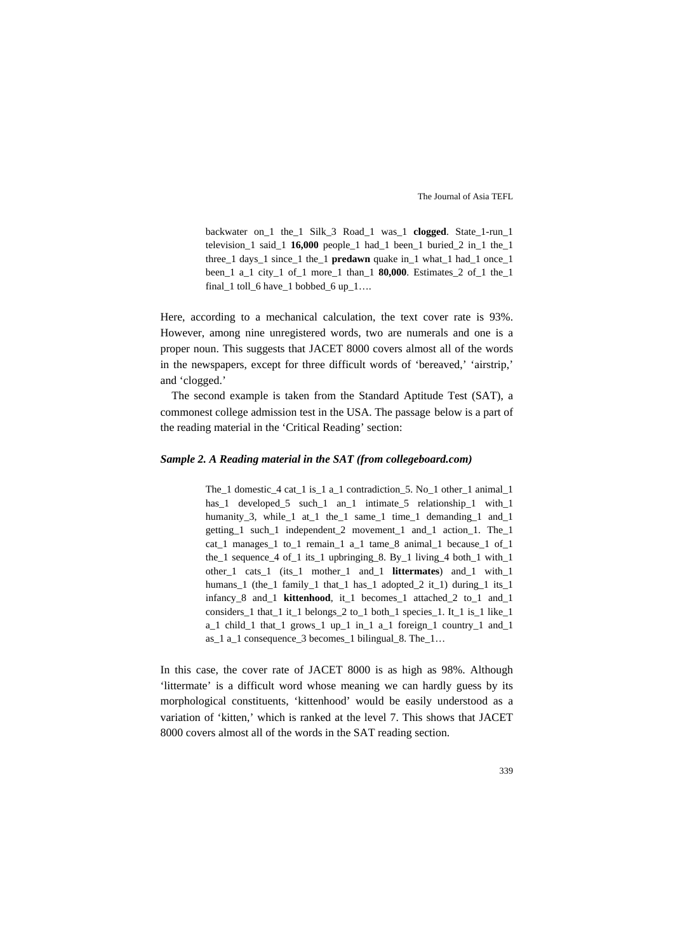backwater on\_1 the\_1 Silk\_3 Road\_1 was\_1 **clogged**. State\_1-run\_1 television  $1$  said  $1$  **16,000** people  $1$  had  $1$  been  $1$  buried  $2$  in  $1$  the  $1$ three\_1 days\_1 since\_1 the\_1 **predawn** quake in\_1 what\_1 had\_1 once\_1 been\_1 a\_1 city\_1 of\_1 more\_1 than\_1 **80,000**. Estimates\_2 of\_1 the\_1 final\_1 toll\_6 have\_1 bobbed\_6 up\_1...

Here, according to a mechanical calculation, the text cover rate is 93%. However, among nine unregistered words, two are numerals and one is a proper noun. This suggests that JACET 8000 covers almost all of the words in the newspapers, except for three difficult words of 'bereaved,' 'airstrip,' and 'clogged.'

The second example is taken from the Standard Aptitude Test (SAT), a commonest college admission test in the USA. The passage below is a part of the reading material in the 'Critical Reading' section:

#### *Sample 2. A Reading material in the SAT (from collegeboard.com)*

The\_1 domestic\_4 cat\_1 is\_1 a\_1 contradiction\_5. No\_1 other\_1 animal\_1 has\_1 developed\_5 such\_1 an\_1 intimate\_5 relationship\_1 with\_1 humanity\_3, while\_1 at\_1 the\_1 same\_1 time\_1 demanding\_1 and\_1 getting\_1 such\_1 independent\_2 movement\_1 and\_1 action\_1. The\_1 cat\_1 manages\_1 to\_1 remain\_1 a\_1 tame\_8 animal\_1 because\_1 of\_1 the\_1 sequence\_4 of\_1 its\_1 upbringing\_8. By\_1 living\_4 both\_1 with\_1 other\_1 cats\_1 (its\_1 mother\_1 and\_1 **littermates**) and\_1 with\_1 humans\_1 (the\_1 family\_1 that\_1 has\_1 adopted\_2 it\_1) during\_1 its\_1 infancy\_8 and\_1 **kittenhood**, it\_1 becomes\_1 attached\_2 to\_1 and\_1 considers\_1 that\_1 it\_1 belongs\_2 to\_1 both\_1 species\_1. It\_1 is\_1 like\_1 a\_1 child\_1 that\_1 grows\_1 up\_1 in\_1 a\_1 foreign\_1 country\_1 and\_1 as\_1 a\_1 consequence\_3 becomes\_1 bilingual\_8. The\_1…

In this case, the cover rate of JACET 8000 is as high as 98%. Although 'littermate' is a difficult word whose meaning we can hardly guess by its morphological constituents, 'kittenhood' would be easily understood as a variation of 'kitten,' which is ranked at the level 7. This shows that JACET 8000 covers almost all of the words in the SAT reading section.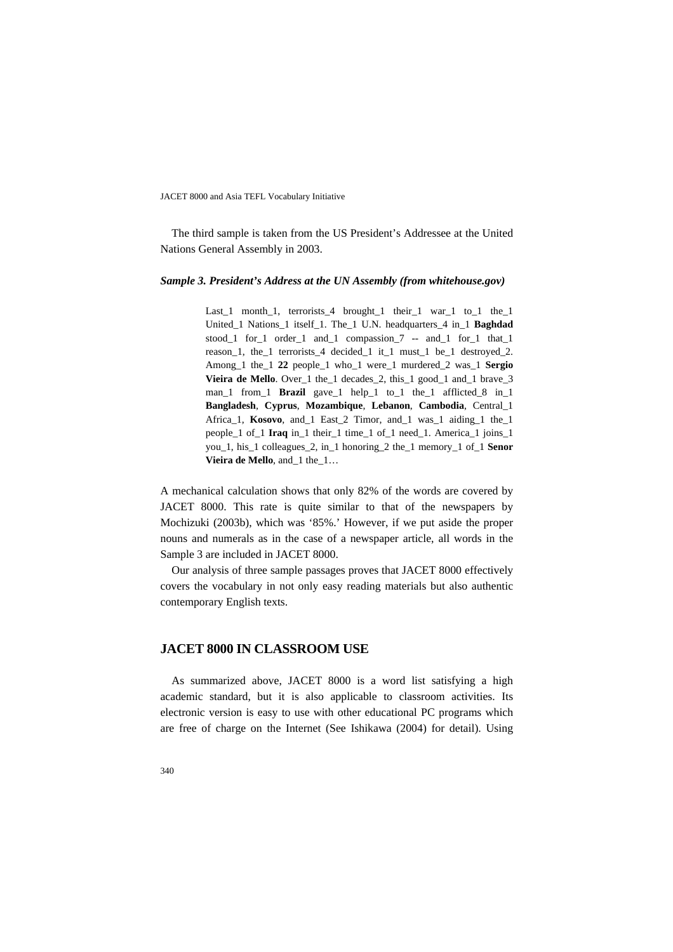The third sample is taken from the US President's Addressee at the United Nations General Assembly in 2003.

#### *Sample 3. President's Address at the UN Assembly (from whitehouse.gov)*

Last 1 month 1, terrorists 4 brought 1 their 1 war\_1 to 1 the 1 United\_1 Nations\_1 itself\_1. The\_1 U.N. headquarters\_4 in\_1 **Baghdad** stood\_1 for\_1 order\_1 and\_1 compassion\_7 -- and\_1 for\_1 that\_1 reason\_1, the\_1 terrorists\_4 decided\_1 it\_1 must\_1 be\_1 destroyed\_2. Among\_1 the\_1 **22** people\_1 who\_1 were\_1 murdered\_2 was\_1 **Sergio Vieira de Mello**. Over\_1 the\_1 decades\_2, this\_1 good\_1 and\_1 brave\_3 man\_1 from\_1 **Brazil** gave\_1 help\_1 to\_1 the\_1 afflicted\_8 in\_1 **Bangladesh**, **Cyprus**, **Mozambique**, **Lebanon**, **Cambodia**, Central\_1 Africa\_1, **Kosovo**, and\_1 East\_2 Timor, and\_1 was\_1 aiding\_1 the\_1 people\_1 of\_1 **Iraq** in\_1 their\_1 time\_1 of\_1 need\_1. America\_1 joins\_1 you\_1, his\_1 colleagues\_2, in\_1 honoring\_2 the\_1 memory\_1 of\_1 **Senor Vieira de Mello**, and\_1 the\_1…

A mechanical calculation shows that only 82% of the words are covered by JACET 8000. This rate is quite similar to that of the newspapers by Mochizuki (2003b), which was '85%.' However, if we put aside the proper nouns and numerals as in the case of a newspaper article, all words in the Sample 3 are included in JACET 8000.

Our analysis of three sample passages proves that JACET 8000 effectively covers the vocabulary in not only easy reading materials but also authentic contemporary English texts.

## **JACET 8000 IN CLASSROOM USE**

As summarized above, JACET 8000 is a word list satisfying a high academic standard, but it is also applicable to classroom activities. Its electronic version is easy to use with other educational PC programs which are free of charge on the Internet (See Ishikawa (2004) for detail). Using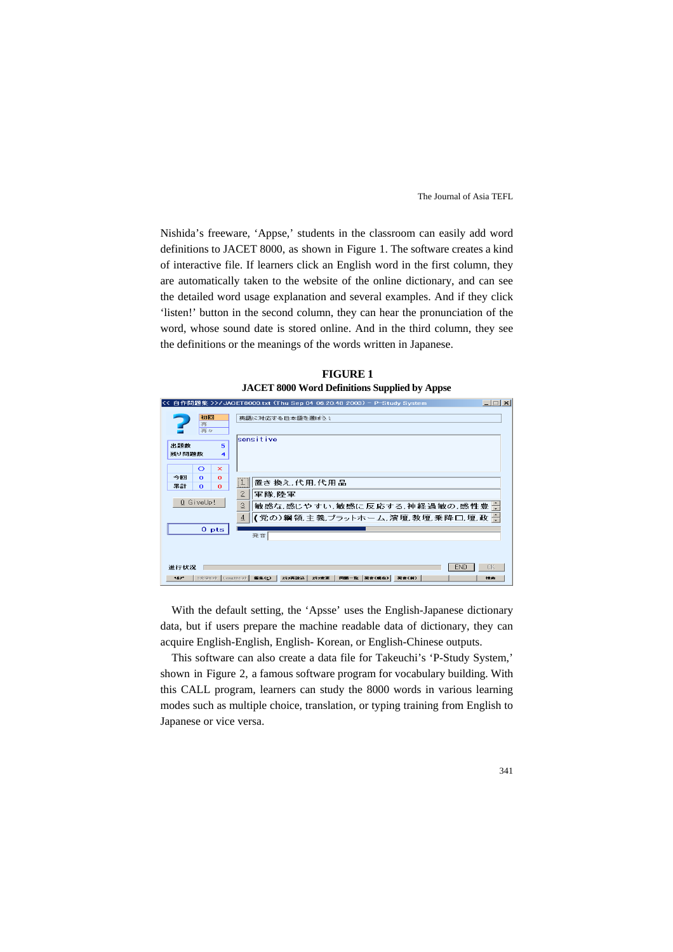Nishida's freeware, 'Appse,' students in the classroom can easily add word definitions to JACET 8000, as shown in Figure 1. The software creates a kind of interactive file. If learners click an English word in the first column, they are automatically taken to the website of the online dictionary, and can see the detailed word usage explanation and several examples. And if they click 'listen!' button in the second column, they can hear the pronunciation of the word, whose sound date is stored online. And in the third column, they see the definitions or the meanings of the words written in Japanese.

**FIGURE 1 JACET 8000 Word Definitions Supplied by Appse** 

|                                                                       | << 自作問題集 >>/JACET8000.txt (Thu Sep 04 06.20.48 2003) - P-Study System<br>$\Box$ $\times$                                                       |
|-----------------------------------------------------------------------|------------------------------------------------------------------------------------------------------------------------------------------------|
| 初回<br>再<br>再々                                                         | 英語に対応する日本語を選ぼう!<br>sensitive                                                                                                                   |
| <b>出題数</b><br>5<br>残り問題数<br>4<br>$\circ$<br>$\times$                  |                                                                                                                                                |
| 今回<br>$\Omega$<br>$\bf{o}$<br>果計<br>$\Omega$<br>$\bf{o}$<br>0 GiveUp! | 置き換え 代用 代用品<br>$\overline{2}$<br>軍隊 陸軍<br>$\mathbf{3}$<br>敏感な,感じやすい,敏感に反応する,神経過敏の,感性豊一<br> (党の)綱領 主義 プラットホーム 演壇 教壇 乗降口 壇 政 一<br>$\overline{4}$ |
| 0 <sub>pts</sub>                                                      | 発音                                                                                                                                             |
| 進行状況<br>3文字セル<br>117*                                                 | <b>END</b><br>OK<br>图集(E)<br>スキン再設込<br>スキン実更<br>同题一致<br>発音(現在)<br>発音(前)<br>Lengthtyl<br>検索                                                     |

With the default setting, the 'Apsse' uses the English-Japanese dictionary data, but if users prepare the machine readable data of dictionary, they can acquire English-English, English- Korean, or English-Chinese outputs.

This software can also create a data file for Takeuchi's 'P-Study System,' shown in Figure 2, a famous software program for vocabulary building. With this CALL program, learners can study the 8000 words in various learning modes such as multiple choice, translation, or typing training from English to Japanese or vice versa.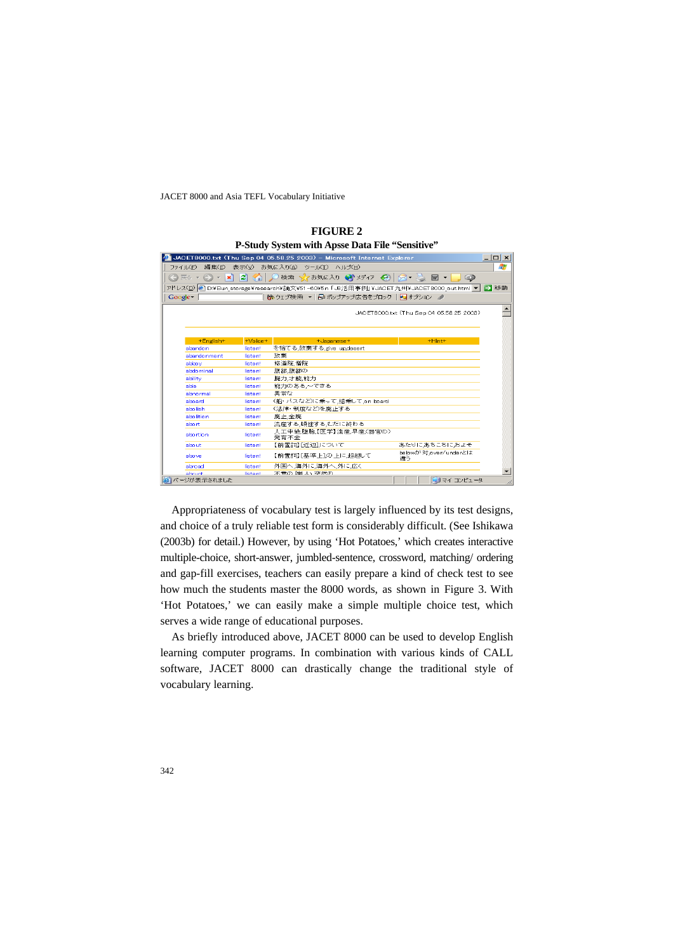|                       |               | JACET8000.txt (Thu Sep 04 05.58.25 2003) - Microsoft Internet Explorer                              |                                          | $ \Box$ $\times$ |
|-----------------------|---------------|-----------------------------------------------------------------------------------------------------|------------------------------------------|------------------|
| ファイル(F)<br>編集(E)      | 表示(V)         | お気に入り(A) ツール(T) ヘルプ(H)                                                                              |                                          | 7.               |
| $ \mathbf{x}$<br>戻る - | <b>DO</b>     | 検索 えお気に入り 3 メディア 8 8 8 2 図 ▼                                                                        | $\circledcirc$                           |                  |
|                       |               | アドレス( <u>D</u> )  @ D:¥Bun_storage¥research¥論文¥51-60¥5n「J8活用事例」¥JACET九州¥JACET8000_out.html ▼   ● 移動 |                                          |                  |
| Google -              |               | 除 ウェブ検索 ▼   早 ポップアップ広告をブロック   Paオプション ノ                                                             |                                          |                  |
|                       |               |                                                                                                     | JACET8000.txt (Thu Sep 04 05.58.25 2003) |                  |
|                       |               |                                                                                                     |                                          |                  |
| +English+             | $+$ Voice $+$ | +Japanese+                                                                                          | +Hint+                                   |                  |
| abandon               | listen!       | を捨てる.放棄する.give_up.desert                                                                            |                                          |                  |
| abandonment           | listen!       | 放棄                                                                                                  |                                          |                  |
| abbey                 | listen!       | 修道院 僧院                                                                                              |                                          |                  |
| abdominal             | listen!       | 腹部 腹部の                                                                                              |                                          |                  |
| ability               | listen!       | 腕力.才能.能力                                                                                            |                                          |                  |
| able                  | listen!       | 能力のある。~できる                                                                                          |                                          |                  |
| abnormal              | listen!       | 異常な                                                                                                 |                                          |                  |
| aboard                | listen!       | (船·バスなど)に乗って、搭乗して.on board                                                                          |                                          |                  |
| abolish               | listen!       | ○去律・制度など)を廃止する                                                                                      |                                          |                  |
| abolition             | listen!       | 廉止,全廉                                                                                               |                                          |                  |
| abort                 | listen!       | 流産する顛挫するもだに終わる                                                                                      |                                          |                  |
|                       | listen!       | 人工中絶.堕胎.【医学】流産.早産(器官の)<br>発育不全                                                                      |                                          |                  |
| abortion              |               |                                                                                                     |                                          |                  |
| about                 | listen!       | 【前置詞】「近辺」について                                                                                       | あたりにあちこちにおよそ                             |                  |
| above                 | listen!       | 【前置詞】[基準上]の上に超越して                                                                                   | belowが対.over/underとは<br>違う               |                  |
| abroad                | listen!       | 外国へ、海外に海外へ、外に広く                                                                                     |                                          |                  |

**FIGURE 2 P-Study System with Apse Data File "Sensitive"** 

Appropriateness of vocabulary test is largely influenced by its test designs, and choice of a truly reliable test form is considerably difficult. (See Ishikawa (2003b) for detail.) However, by using 'Hot Potatoes,' which creates interactive multiple-choice, short-answer, jumbled-sentence, crossword, matching/ ordering and gap-fill exercises, teachers can easily prepare a kind of check test to see how much the students master the 8000 words, as shown in Figure 3. With 'Hot Potatoes,' we can easily make a simple multiple choice test, which serves a wide range of educational purposes.

As briefly introduced above, JACET 8000 can be used to develop English learning computer programs. In combination with various kinds of CALL software, JACET 8000 can drastically change the traditional style of vocabulary learning.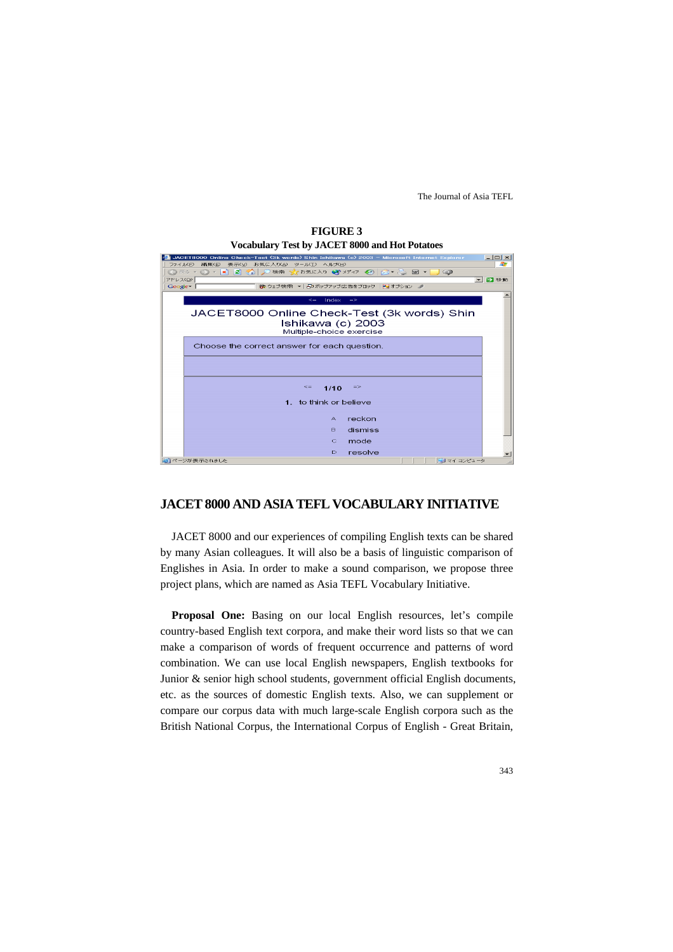

# **FIGURE 3**

### **JACET 8000 AND ASIA TEFL VOCABULARY INITIATIVE**

JACET 8000 and our experiences of compiling English texts can be shared by many Asian colleagues. It will also be a basis of linguistic comparison of Englishes in Asia. In order to make a sound comparison, we propose three project plans, which are named as Asia TEFL Vocabulary Initiative.

**Proposal One:** Basing on our local English resources, let's compile country-based English text corpora, and make their word lists so that we can make a comparison of words of frequent occurrence and patterns of word combination. We can use local English newspapers, English textbooks for Junior & senior high school students, government official English documents, etc. as the sources of domestic English texts. Also, we can supplement or compare our corpus data with much large-scale English corpora such as the British National Corpus, the International Corpus of English - Great Britain,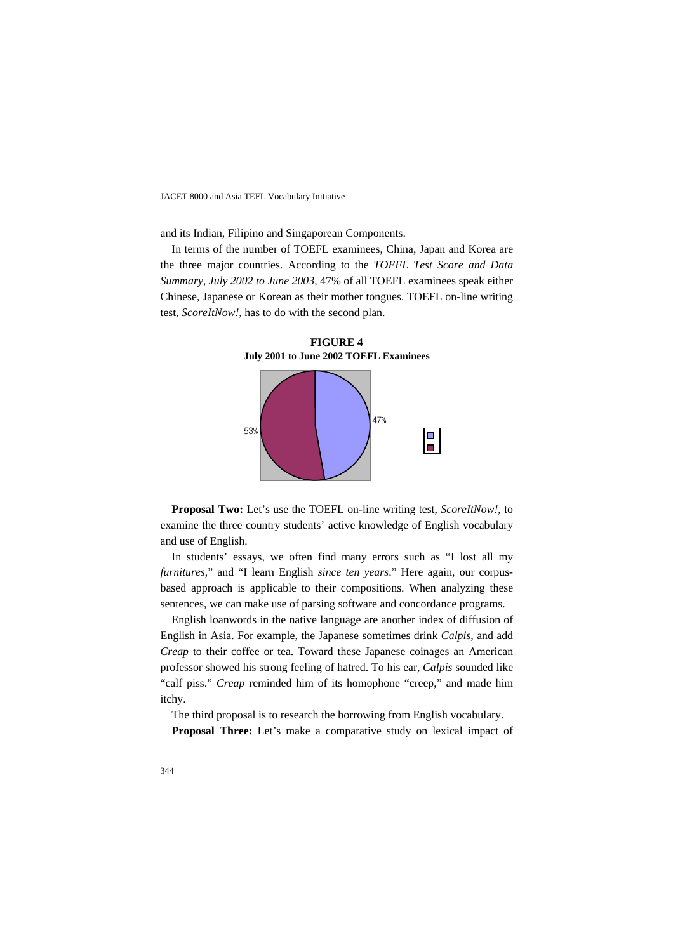and its Indian, Filipino and Singaporean Components.

In terms of the number of TOEFL examinees, China, Japan and Korea are the three major countries. According to the *TOEFL Test Score and Data Summary, July 2002 to June 2003*, 47% of all TOEFL examinees speak either Chinese, Japanese or Korean as their mother tongues. TOEFL on-line writing test, *ScoreItNow!,* has to do with the second plan.



**FIGURE 4 July 2001 to June 2002 TOEFL Examinees** 

**Proposal Two:** Let's use the TOEFL on-line writing test, *ScoreItNow!,* to examine the three country students' active knowledge of English vocabulary and use of English.

In students' essays, we often find many errors such as "I lost all my *furnitures*," and "I learn English *since ten years*." Here again, our corpusbased approach is applicable to their compositions. When analyzing these sentences, we can make use of parsing software and concordance programs.

English loanwords in the native language are another index of diffusion of English in Asia. For example, the Japanese sometimes drink *Calpis*, and add *Creap* to their coffee or tea. Toward these Japanese coinages an American professor showed his strong feeling of hatred. To his ear, *Calpis* sounded like "calf piss." *Creap* reminded him of its homophone "creep," and made him itchy.

The third proposal is to research the borrowing from English vocabulary.

**Proposal Three:** Let's make a comparative study on lexical impact of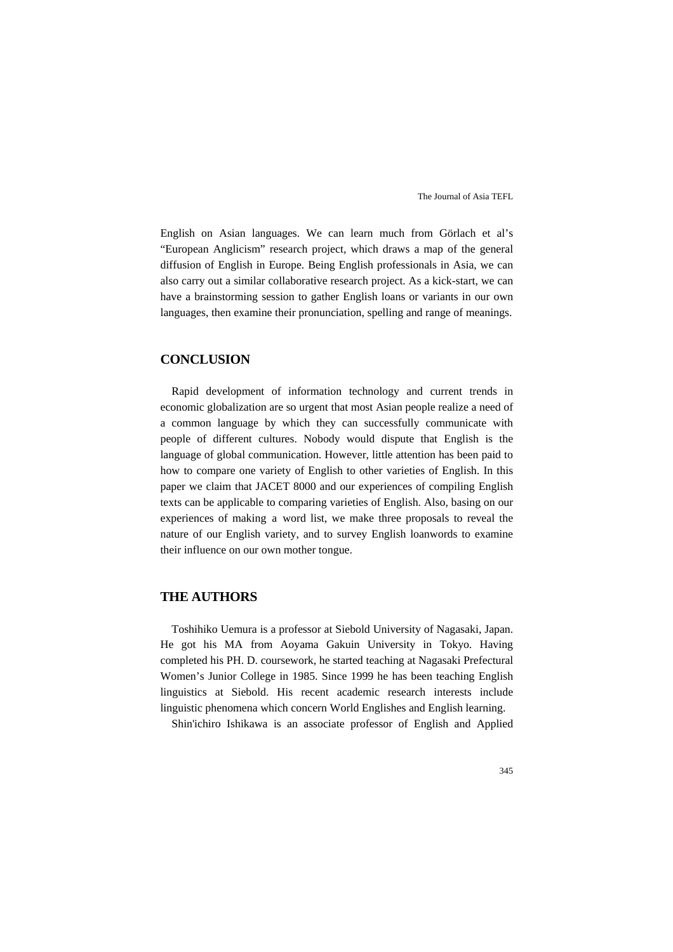English on Asian languages. We can learn much from Görlach et al's "European Anglicism" research project, which draws a map of the general diffusion of English in Europe. Being English professionals in Asia, we can also carry out a similar collaborative research project. As a kick-start, we can have a brainstorming session to gather English loans or variants in our own languages, then examine their pronunciation, spelling and range of meanings.

## **CONCLUSION**

Rapid development of information technology and current trends in economic globalization are so urgent that most Asian people realize a need of a common language by which they can successfully communicate with people of different cultures. Nobody would dispute that English is the language of global communication. However, little attention has been paid to how to compare one variety of English to other varieties of English. In this paper we claim that JACET 8000 and our experiences of compiling English texts can be applicable to comparing varieties of English. Also, basing on our experiences of making a word list, we make three proposals to reveal the nature of our English variety, and to survey English loanwords to examine their influence on our own mother tongue.

## **THE AUTHORS**

Toshihiko Uemura is a professor at Siebold University of Nagasaki, Japan. He got his MA from Aoyama Gakuin University in Tokyo. Having completed his PH. D. coursework, he started teaching at Nagasaki Prefectural Women's Junior College in 1985. Since 1999 he has been teaching English linguistics at Siebold. His recent academic research interests include linguistic phenomena which concern World Englishes and English learning.

Shin'ichiro Ishikawa is an associate professor of English and Applied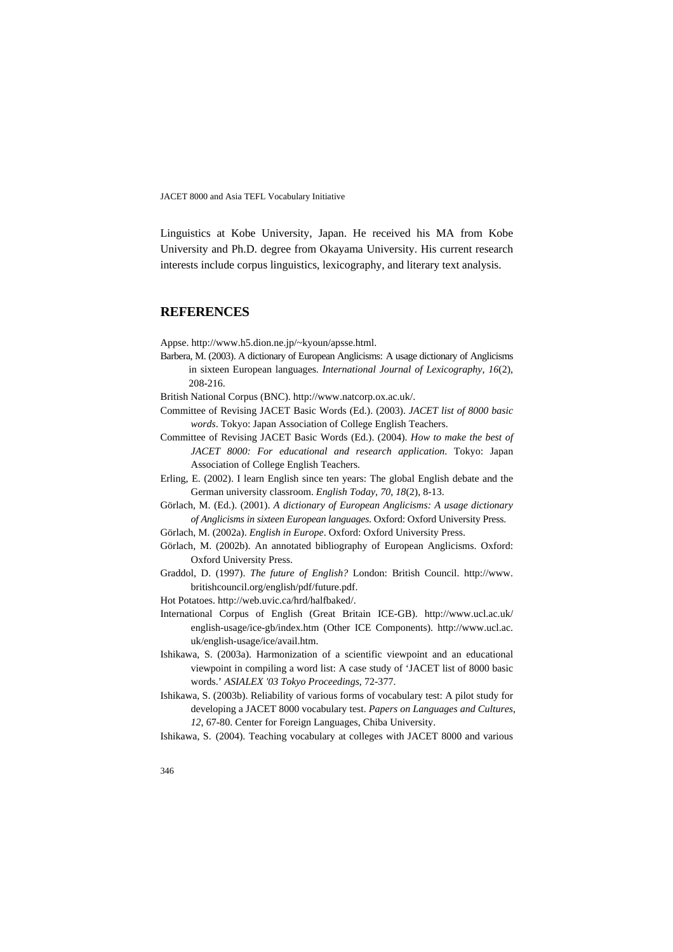Linguistics at Kobe University, Japan. He received his MA from Kobe University and Ph.D. degree from Okayama University. His current research interests include corpus linguistics, lexicography, and literary text analysis.

#### **REFERENCES**

Appse. http://www.h5.dion.ne.jp/~kyoun/apsse.html.

Barbera, M. (2003). A dictionary of European Anglicisms: A usage dictionary of Anglicisms in sixteen European languages. *International Journal of Lexicography*, *16*(2), 208-216.

British National Corpus (BNC). http://www.natcorp.ox.ac.uk/.

- Committee of Revising JACET Basic Words (Ed.). (2003). *JACET list of 8000 basic words*. Tokyo: Japan Association of College English Teachers.
- Committee of Revising JACET Basic Words (Ed.). (2004). *How to make the best of JACET 8000: For educational and research application*. Tokyo: Japan Association of College English Teachers.
- Erling, E. (2002). I learn English since ten years: The global English debate and the German university classroom. *English Today*, *70*, *18*(2), 8-13.
- Görlach, M. (Ed.). (2001). *A dictionary of European Anglicisms: A usage dictionary of Anglicisms in sixteen European languages*. Oxford: Oxford University Press.
- Görlach, M. (2002a). *English in Europe*. Oxford: Oxford University Press.
- Görlach, M. (2002b). An annotated bibliography of European Anglicisms. Oxford: Oxford University Press.
- Graddol, D. (1997). *The future of English?* London: British Council. http://www. britishcouncil.org/english/pdf/future.pdf.
- Hot Potatoes. http://web.uvic.ca/hrd/halfbaked/.
- International Corpus of English (Great Britain ICE-GB). http://www.ucl.ac.uk/ english-usage/ice-gb/index.htm (Other ICE Components). http://www.ucl.ac. uk/english-usage/ice/avail.htm.
- Ishikawa, S. (2003a). Harmonization of a scientific viewpoint and an educational viewpoint in compiling a word list: A case study of 'JACET list of 8000 basic words.' *ASIALEX '03 Tokyo Proceedings*, 72-377.
- Ishikawa, S. (2003b). Reliability of various forms of vocabulary test: A pilot study for developing a JACET 8000 vocabulary test. *Papers on Languages and Cultures*, *12*, 67-80. Center for Foreign Languages, Chiba University.

Ishikawa, S. (2004). Teaching vocabulary at colleges with JACET 8000 and various